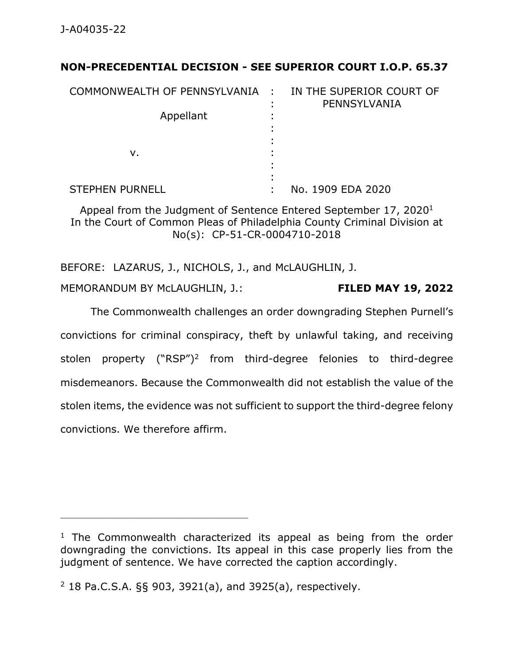## **NON-PRECEDENTIAL DECISION - SEE SUPERIOR COURT I.O.P. 65.37**

| COMMONWEALTH OF PENNSYLVANIA : |   | IN THE SUPERIOR COURT OF<br>PENNSYLVANIA |
|--------------------------------|---|------------------------------------------|
| Appellant                      |   |                                          |
| v.                             |   |                                          |
| <b>STEPHEN PURNELL</b>         | ٠ | No. 1909 EDA 2020                        |

Appeal from the Judgment of Sentence Entered September 17, 2020<sup>1</sup> In the Court of Common Pleas of Philadelphia County Criminal Division at No(s): CP-51-CR-0004710-2018

BEFORE: LAZARUS, J., NICHOLS, J., and McLAUGHLIN, J. MEMORANDUM BY McLAUGHLIN, J.: **FILED MAY 19, 2022**

The Commonwealth challenges an order downgrading Stephen Purnell's convictions for criminal conspiracy, theft by unlawful taking, and receiving stolen property ("RSP")<sup>2</sup> from third-degree felonies to third-degree misdemeanors. Because the Commonwealth did not establish the value of the stolen items, the evidence was not sufficient to support the third-degree felony convictions. We therefore affirm.

 $1$  The Commonwealth characterized its appeal as being from the order downgrading the convictions. Its appeal in this case properly lies from the judgment of sentence. We have corrected the caption accordingly.

<sup>2</sup> 18 Pa.C.S.A. §§ 903, 3921(a), and 3925(a), respectively.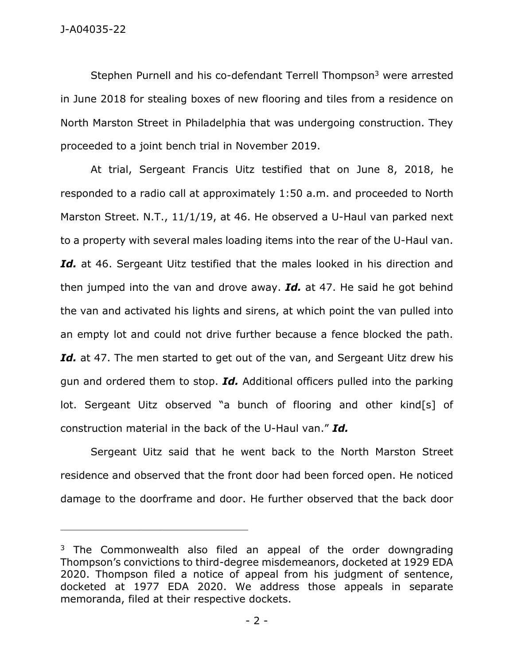Stephen Purnell and his co-defendant Terrell Thompson<sup>3</sup> were arrested in June 2018 for stealing boxes of new flooring and tiles from a residence on North Marston Street in Philadelphia that was undergoing construction. They proceeded to a joint bench trial in November 2019.

At trial, Sergeant Francis Uitz testified that on June 8, 2018, he responded to a radio call at approximately 1:50 a.m. and proceeded to North Marston Street. N.T., 11/1/19, at 46. He observed a U-Haul van parked next to a property with several males loading items into the rear of the U-Haul van. Id. at 46. Sergeant Uitz testified that the males looked in his direction and then jumped into the van and drove away. *Id.* at 47. He said he got behind the van and activated his lights and sirens, at which point the van pulled into an empty lot and could not drive further because a fence blocked the path. Id. at 47. The men started to get out of the van, and Sergeant Uitz drew his gun and ordered them to stop. *Id.* Additional officers pulled into the parking lot. Sergeant Uitz observed "a bunch of flooring and other kind[s] of construction material in the back of the U-Haul van." *Id.*

Sergeant Uitz said that he went back to the North Marston Street residence and observed that the front door had been forced open. He noticed damage to the doorframe and door. He further observed that the back door

 $3$  The Commonwealth also filed an appeal of the order downgrading Thompson's convictions to third-degree misdemeanors, docketed at 1929 EDA 2020. Thompson filed a notice of appeal from his judgment of sentence, docketed at 1977 EDA 2020. We address those appeals in separate memoranda, filed at their respective dockets.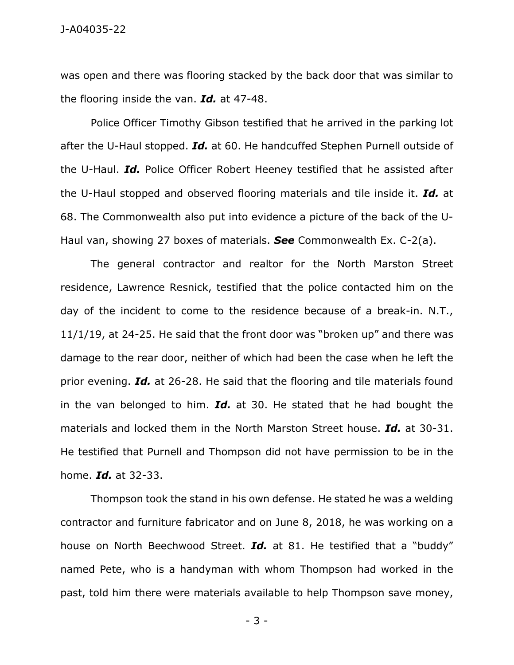J-A04035-22

was open and there was flooring stacked by the back door that was similar to the flooring inside the van. *Id.* at 47-48.

Police Officer Timothy Gibson testified that he arrived in the parking lot after the U-Haul stopped. *Id.* at 60. He handcuffed Stephen Purnell outside of the U-Haul. *Id.* Police Officer Robert Heeney testified that he assisted after the U-Haul stopped and observed flooring materials and tile inside it. *Id.* at 68. The Commonwealth also put into evidence a picture of the back of the U-Haul van, showing 27 boxes of materials. *See* Commonwealth Ex. C-2(a).

The general contractor and realtor for the North Marston Street residence, Lawrence Resnick, testified that the police contacted him on the day of the incident to come to the residence because of a break-in. N.T., 11/1/19, at 24-25. He said that the front door was "broken up" and there was damage to the rear door, neither of which had been the case when he left the prior evening. *Id.* at 26-28. He said that the flooring and tile materials found in the van belonged to him. *Id.* at 30. He stated that he had bought the materials and locked them in the North Marston Street house. *Id.* at 30-31. He testified that Purnell and Thompson did not have permission to be in the home. *Id.* at 32-33.

Thompson took the stand in his own defense. He stated he was a welding contractor and furniture fabricator and on June 8, 2018, he was working on a house on North Beechwood Street. *Id.* at 81. He testified that a "buddy" named Pete, who is a handyman with whom Thompson had worked in the past, told him there were materials available to help Thompson save money,

- 3 -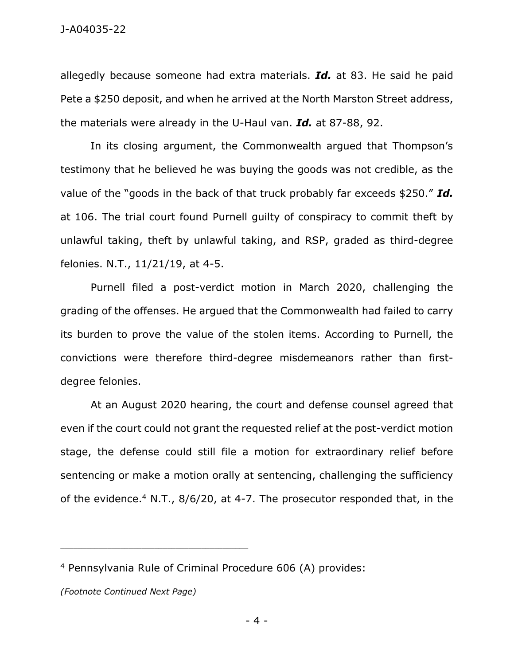allegedly because someone had extra materials. *Id.* at 83. He said he paid Pete a \$250 deposit, and when he arrived at the North Marston Street address, the materials were already in the U-Haul van. *Id.* at 87-88, 92.

In its closing argument, the Commonwealth argued that Thompson's testimony that he believed he was buying the goods was not credible, as the value of the "goods in the back of that truck probably far exceeds \$250." *Id.* at 106. The trial court found Purnell guilty of conspiracy to commit theft by unlawful taking, theft by unlawful taking, and RSP, graded as third-degree felonies. N.T., 11/21/19, at 4-5.

Purnell filed a post-verdict motion in March 2020, challenging the grading of the offenses. He argued that the Commonwealth had failed to carry its burden to prove the value of the stolen items. According to Purnell, the convictions were therefore third-degree misdemeanors rather than firstdegree felonies.

At an August 2020 hearing, the court and defense counsel agreed that even if the court could not grant the requested relief at the post-verdict motion stage, the defense could still file a motion for extraordinary relief before sentencing or make a motion orally at sentencing, challenging the sufficiency of the evidence.<sup>4</sup> N.T., 8/6/20, at 4-7. The prosecutor responded that, in the

<sup>4</sup> Pennsylvania Rule of Criminal Procedure 606 (A) provides:

*<sup>(</sup>Footnote Continued Next Page)*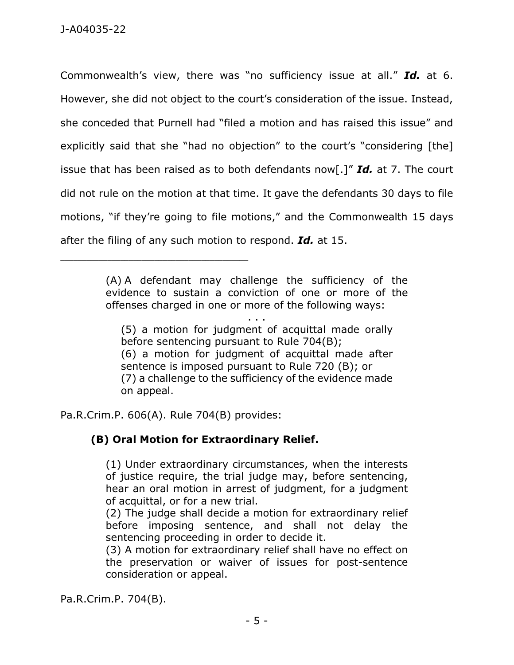Commonwealth's view, there was "no sufficiency issue at all." *Id.* at 6. However, she did not object to the court's consideration of the issue. Instead, she conceded that Purnell had "filed a motion and has raised this issue" and explicitly said that she "had no objection" to the court's "considering [the] issue that has been raised as to both defendants now[.]" *Id.* at 7. The court did not rule on the motion at that time. It gave the defendants 30 days to file motions, "if they're going to file motions," and the Commonwealth 15 days after the filing of any such motion to respond. *Id.* at 15.

> (A) A defendant may challenge the sufficiency of the evidence to sustain a conviction of one or more of the offenses charged in one or more of the following ways:

> > . . .

(5) a motion for judgment of acquittal made orally before sentencing pursuant to Rule 704(B); (6) a motion for judgment of acquittal made after sentence is imposed pursuant to Rule 720 (B); or (7) a challenge to the sufficiency of the evidence made on appeal.

Pa.R.Crim.P. 606(A). Rule 704(B) provides:

\_\_\_\_\_\_\_\_\_\_\_\_\_\_\_\_\_\_\_\_\_\_\_\_\_\_\_\_\_\_\_\_\_\_\_\_\_\_\_\_\_\_\_\_

## **(B) Oral Motion for Extraordinary Relief.**

(1) Under extraordinary circumstances, when the interests of justice require, the trial judge may, before sentencing, hear an oral motion in arrest of judgment, for a judgment of acquittal, or for a new trial.

(2) The judge shall decide a motion for extraordinary relief before imposing sentence, and shall not delay the sentencing proceeding in order to decide it.

(3) A motion for extraordinary relief shall have no effect on the preservation or waiver of issues for post-sentence consideration or appeal.

Pa.R.Crim.P. 704(B).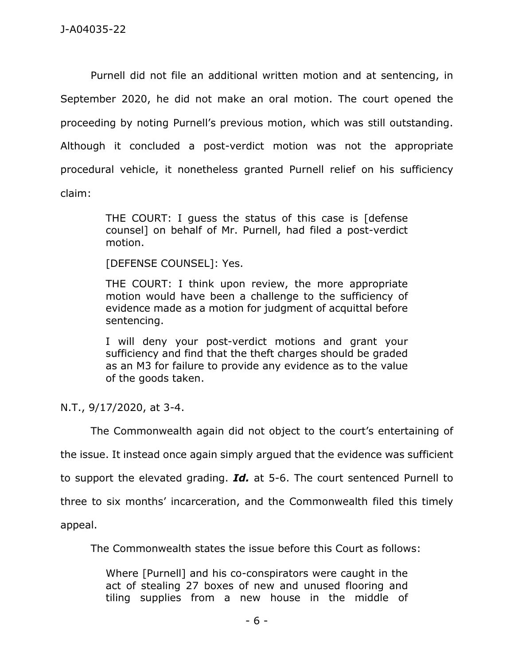Purnell did not file an additional written motion and at sentencing, in September 2020, he did not make an oral motion. The court opened the proceeding by noting Purnell's previous motion, which was still outstanding. Although it concluded a post-verdict motion was not the appropriate procedural vehicle, it nonetheless granted Purnell relief on his sufficiency claim:

> THE COURT: I guess the status of this case is [defense counsel] on behalf of Mr. Purnell, had filed a post-verdict motion.

[DEFENSE COUNSEL]: Yes.

THE COURT: I think upon review, the more appropriate motion would have been a challenge to the sufficiency of evidence made as a motion for judgment of acquittal before sentencing.

I will deny your post-verdict motions and grant your sufficiency and find that the theft charges should be graded as an M3 for failure to provide any evidence as to the value of the goods taken.

N.T., 9/17/2020, at 3-4.

The Commonwealth again did not object to the court's entertaining of

the issue. It instead once again simply argued that the evidence was sufficient

to support the elevated grading. *Id.* at 5-6. The court sentenced Purnell to

three to six months' incarceration, and the Commonwealth filed this timely

appeal.

The Commonwealth states the issue before this Court as follows:

Where [Purnell] and his co-conspirators were caught in the act of stealing 27 boxes of new and unused flooring and tiling supplies from a new house in the middle of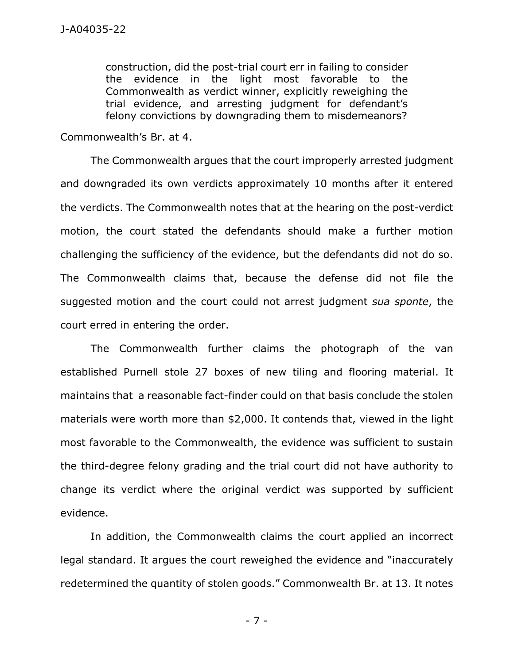construction, did the post-trial court err in failing to consider the evidence in the light most favorable to the Commonwealth as verdict winner, explicitly reweighing the trial evidence, and arresting judgment for defendant's felony convictions by downgrading them to misdemeanors?

Commonwealth's Br. at 4.

The Commonwealth argues that the court improperly arrested judgment and downgraded its own verdicts approximately 10 months after it entered the verdicts. The Commonwealth notes that at the hearing on the post-verdict motion, the court stated the defendants should make a further motion challenging the sufficiency of the evidence, but the defendants did not do so. The Commonwealth claims that, because the defense did not file the suggested motion and the court could not arrest judgment *sua sponte*, the court erred in entering the order.

The Commonwealth further claims the photograph of the van established Purnell stole 27 boxes of new tiling and flooring material. It maintains that a reasonable fact-finder could on that basis conclude the stolen materials were worth more than \$2,000. It contends that, viewed in the light most favorable to the Commonwealth, the evidence was sufficient to sustain the third-degree felony grading and the trial court did not have authority to change its verdict where the original verdict was supported by sufficient evidence.

In addition, the Commonwealth claims the court applied an incorrect legal standard. It argues the court reweighed the evidence and "inaccurately redetermined the quantity of stolen goods." Commonwealth Br. at 13. It notes

- 7 -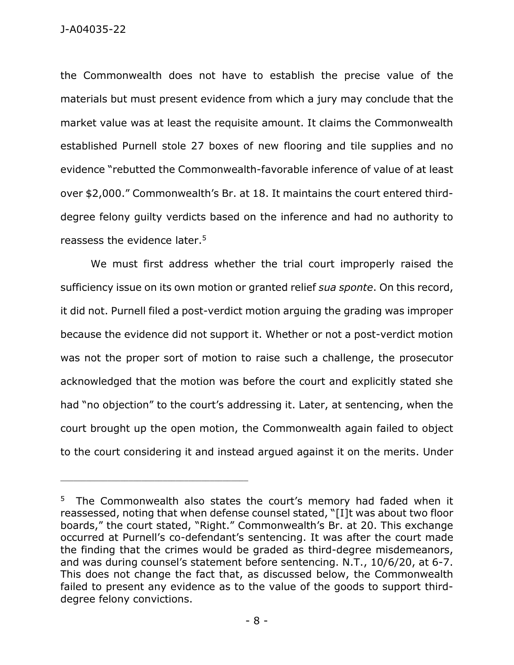J-A04035-22

the Commonwealth does not have to establish the precise value of the materials but must present evidence from which a jury may conclude that the market value was at least the requisite amount. It claims the Commonwealth established Purnell stole 27 boxes of new flooring and tile supplies and no evidence "rebutted the Commonwealth-favorable inference of value of at least over \$2,000." Commonwealth's Br. at 18. It maintains the court entered thirddegree felony guilty verdicts based on the inference and had no authority to reassess the evidence later.<sup>5</sup>

We must first address whether the trial court improperly raised the sufficiency issue on its own motion or granted relief *sua sponte*. On this record, it did not. Purnell filed a post-verdict motion arguing the grading was improper because the evidence did not support it. Whether or not a post-verdict motion was not the proper sort of motion to raise such a challenge, the prosecutor acknowledged that the motion was before the court and explicitly stated she had "no objection" to the court's addressing it. Later, at sentencing, when the court brought up the open motion, the Commonwealth again failed to object to the court considering it and instead argued against it on the merits. Under

<sup>&</sup>lt;sup>5</sup> The Commonwealth also states the court's memory had faded when it reassessed, noting that when defense counsel stated, "[I]t was about two floor boards," the court stated, "Right." Commonwealth's Br. at 20. This exchange occurred at Purnell's co-defendant's sentencing. It was after the court made the finding that the crimes would be graded as third-degree misdemeanors, and was during counsel's statement before sentencing. N.T., 10/6/20, at 6-7. This does not change the fact that, as discussed below, the Commonwealth failed to present any evidence as to the value of the goods to support thirddegree felony convictions.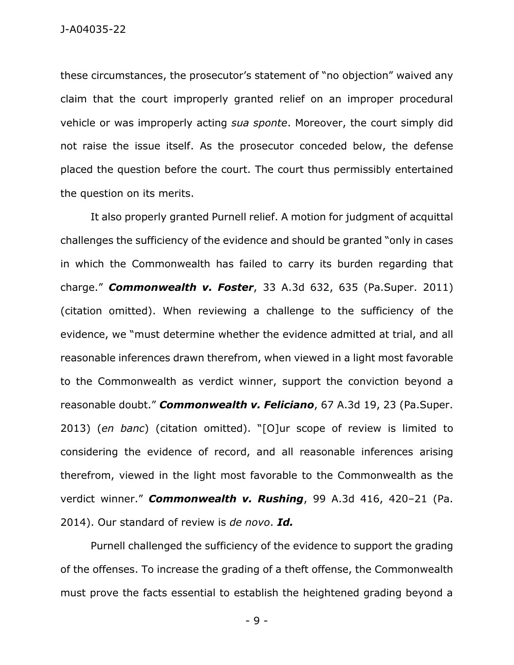these circumstances, the prosecutor's statement of "no objection" waived any claim that the court improperly granted relief on an improper procedural vehicle or was improperly acting *sua sponte*. Moreover, the court simply did not raise the issue itself. As the prosecutor conceded below, the defense placed the question before the court. The court thus permissibly entertained the question on its merits.

It also properly granted Purnell relief. A motion for judgment of acquittal challenges the sufficiency of the evidence and should be granted "only in cases in which the Commonwealth has failed to carry its burden regarding that charge." *Commonwealth v. Foster*, 33 A.3d 632, 635 (Pa.Super. 2011) (citation omitted). When reviewing a challenge to the sufficiency of the evidence, we "must determine whether the evidence admitted at trial, and all reasonable inferences drawn therefrom, when viewed in a light most favorable to the Commonwealth as verdict winner, support the conviction beyond a reasonable doubt." *Commonwealth v. Feliciano*, 67 A.3d 19, 23 (Pa.Super. 2013) (*en banc*) (citation omitted). "[O]ur scope of review is limited to considering the evidence of record, and all reasonable inferences arising therefrom, viewed in the light most favorable to the Commonwealth as the verdict winner." *Commonwealth v. Rushing*, 99 A.3d 416, 420–21 (Pa. 2014). Our standard of review is *de novo*. *Id.*

Purnell challenged the sufficiency of the evidence to support the grading of the offenses. To increase the grading of a theft offense, the Commonwealth must prove the facts essential to establish the heightened grading beyond a

- 9 -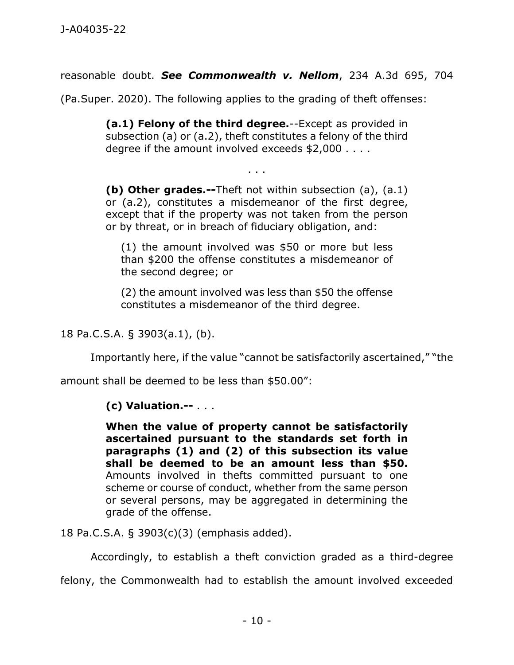reasonable doubt. *See Commonwealth v. Nellom*, 234 A.3d 695, 704

(Pa.Super. 2020). The following applies to the grading of theft offenses:

**(a.1) Felony of the third degree.**--Except as provided in subsection (a) or (a.2), theft constitutes a felony of the third degree if the amount involved exceeds \$2,000 . . . .

. . .

**(b) Other grades.--**Theft not within subsection (a), (a.1) or (a.2), constitutes a misdemeanor of the first degree, except that if the property was not taken from the person or by threat, or in breach of fiduciary obligation, and:

(1) the amount involved was \$50 or more but less than \$200 the offense constitutes a misdemeanor of the second degree; or

(2) the amount involved was less than \$50 the offense constitutes a misdemeanor of the third degree.

18 Pa.C.S.A. § 3903(a.1), (b).

Importantly here, if the value "cannot be satisfactorily ascertained," "the

amount shall be deemed to be less than \$50.00":

## **(c) Valuation.--** . . .

**When the value of property cannot be satisfactorily ascertained pursuant to the standards set forth in paragraphs (1) and (2) of this subsection its value shall be deemed to be an amount less than \$50.** Amounts involved in thefts committed pursuant to one scheme or course of conduct, whether from the same person or several persons, may be aggregated in determining the grade of the offense.

18 Pa.C.S.A. § 3903(c)(3) (emphasis added).

Accordingly, to establish a theft conviction graded as a third-degree

felony, the Commonwealth had to establish the amount involved exceeded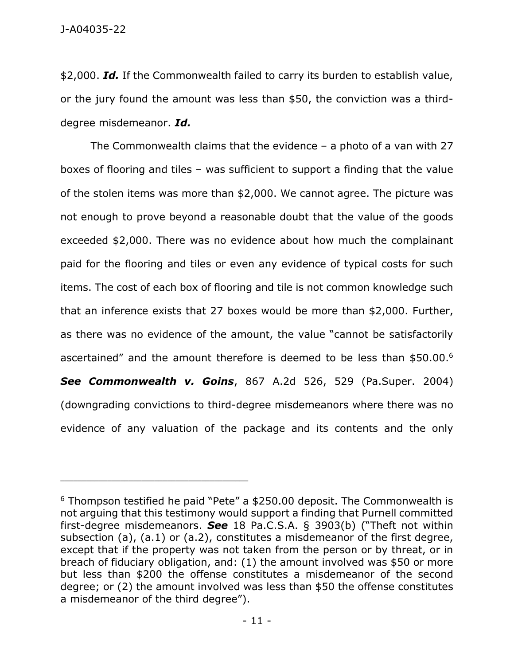\$2,000. *Id.* If the Commonwealth failed to carry its burden to establish value, or the jury found the amount was less than \$50, the conviction was a thirddegree misdemeanor. *Id.*

The Commonwealth claims that the evidence  $-$  a photo of a van with 27 boxes of flooring and tiles – was sufficient to support a finding that the value of the stolen items was more than \$2,000. We cannot agree. The picture was not enough to prove beyond a reasonable doubt that the value of the goods exceeded \$2,000. There was no evidence about how much the complainant paid for the flooring and tiles or even any evidence of typical costs for such items. The cost of each box of flooring and tile is not common knowledge such that an inference exists that 27 boxes would be more than \$2,000. Further, as there was no evidence of the amount, the value "cannot be satisfactorily ascertained" and the amount therefore is deemed to be less than \$50.00.<sup>6</sup> *See Commonwealth v. Goins*, 867 A.2d 526, 529 (Pa.Super. 2004) (downgrading convictions to third-degree misdemeanors where there was no evidence of any valuation of the package and its contents and the only

<sup>6</sup> Thompson testified he paid "Pete" a \$250.00 deposit. The Commonwealth is not arguing that this testimony would support a finding that Purnell committed first-degree misdemeanors. *See* 18 Pa.C.S.A. § 3903(b) ("Theft not within subsection (a), (a.1) or (a.2), constitutes a misdemeanor of the first degree, except that if the property was not taken from the person or by threat, or in breach of fiduciary obligation, and: (1) the amount involved was \$50 or more but less than \$200 the offense constitutes a misdemeanor of the second degree; or (2) the amount involved was less than \$50 the offense constitutes a misdemeanor of the third degree").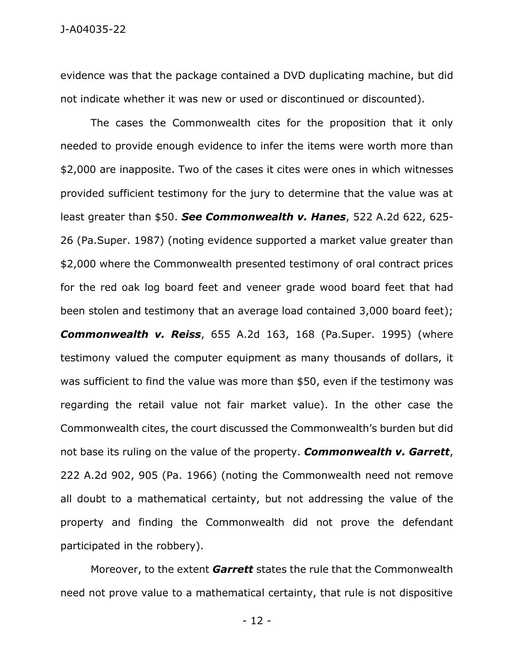evidence was that the package contained a DVD duplicating machine, but did not indicate whether it was new or used or discontinued or discounted).

The cases the Commonwealth cites for the proposition that it only needed to provide enough evidence to infer the items were worth more than \$2,000 are inapposite. Two of the cases it cites were ones in which witnesses provided sufficient testimony for the jury to determine that the value was at least greater than \$50. *See Commonwealth v. Hanes*, 522 A.2d 622, 625- 26 (Pa.Super. 1987) (noting evidence supported a market value greater than \$2,000 where the Commonwealth presented testimony of oral contract prices for the red oak log board feet and veneer grade wood board feet that had been stolen and testimony that an average load contained 3,000 board feet);

*Commonwealth v. Reiss*, 655 A.2d 163, 168 (Pa.Super. 1995) (where testimony valued the computer equipment as many thousands of dollars, it was sufficient to find the value was more than \$50, even if the testimony was regarding the retail value not fair market value). In the other case the Commonwealth cites, the court discussed the Commonwealth's burden but did not base its ruling on the value of the property. *Commonwealth v. Garrett*, 222 A.2d 902, 905 (Pa. 1966) (noting the Commonwealth need not remove all doubt to a mathematical certainty, but not addressing the value of the property and finding the Commonwealth did not prove the defendant participated in the robbery).

Moreover, to the extent *Garrett* states the rule that the Commonwealth need not prove value to a mathematical certainty, that rule is not dispositive

- 12 -